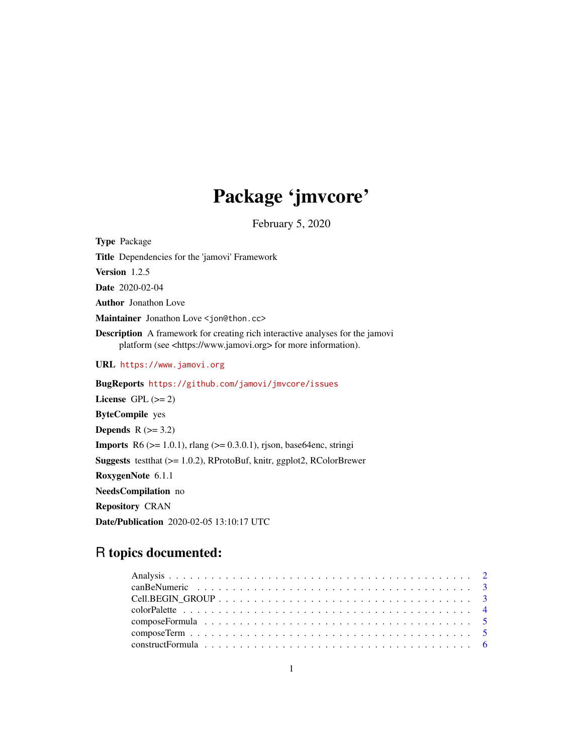# Package 'jmvcore'

February 5, 2020

<span id="page-0-0"></span>Type Package Title Dependencies for the 'jamovi' Framework Version 1.2.5 Date 2020-02-04 Author Jonathon Love Maintainer Jonathon Love <jon@thon.cc> Description A framework for creating rich interactive analyses for the jamovi platform (see <https://www.jamovi.org> for more information). URL <https://www.jamovi.org> BugReports <https://github.com/jamovi/jmvcore/issues> License GPL  $(>= 2)$ ByteCompile yes Depends  $R$  ( $>= 3.2$ ) Imports R6 (>= 1.0.1), rlang (>= 0.3.0.1), rjson, base64enc, stringi Suggests testthat (>= 1.0.2), RProtoBuf, knitr, ggplot2, RColorBrewer RoxygenNote 6.1.1 NeedsCompilation no Repository CRAN Date/Publication 2020-02-05 13:10:17 UTC

# R topics documented: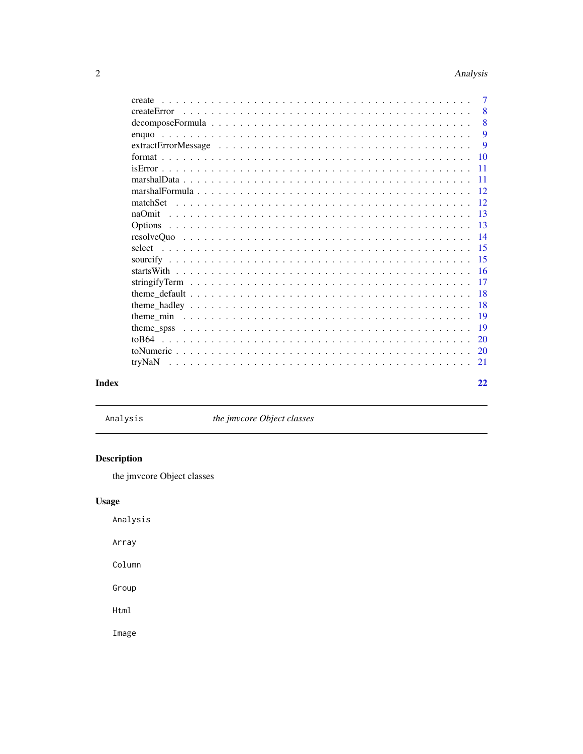<span id="page-1-0"></span>

| create                                                                                                             | $\overline{7}$  |
|--------------------------------------------------------------------------------------------------------------------|-----------------|
|                                                                                                                    | 8               |
| $decomposeFormula \dots \dots \dots \dots \dots \dots \dots \dots \dots \dots \dots \dots \dots \dots \dots \dots$ | 8               |
|                                                                                                                    | 9               |
|                                                                                                                    | 9               |
|                                                                                                                    | 10              |
|                                                                                                                    | $\overline{11}$ |
|                                                                                                                    |                 |
|                                                                                                                    |                 |
|                                                                                                                    |                 |
|                                                                                                                    | 13              |
|                                                                                                                    | 13              |
|                                                                                                                    | $\overline{14}$ |
|                                                                                                                    | $\overline{15}$ |
|                                                                                                                    | 15              |
|                                                                                                                    |                 |
|                                                                                                                    | 17              |
|                                                                                                                    | -18             |
|                                                                                                                    | <b>18</b>       |
|                                                                                                                    | 19              |
|                                                                                                                    | 19              |
|                                                                                                                    | 20              |
|                                                                                                                    | <b>20</b>       |
|                                                                                                                    | 21              |
|                                                                                                                    |                 |
|                                                                                                                    | 22              |

# **Index**

Analysis

the jmvcore Object classes

# Description

the jmvcore Object classes

# **Usage**

Analysis

Array

 $Column$ 

Group

Html

Image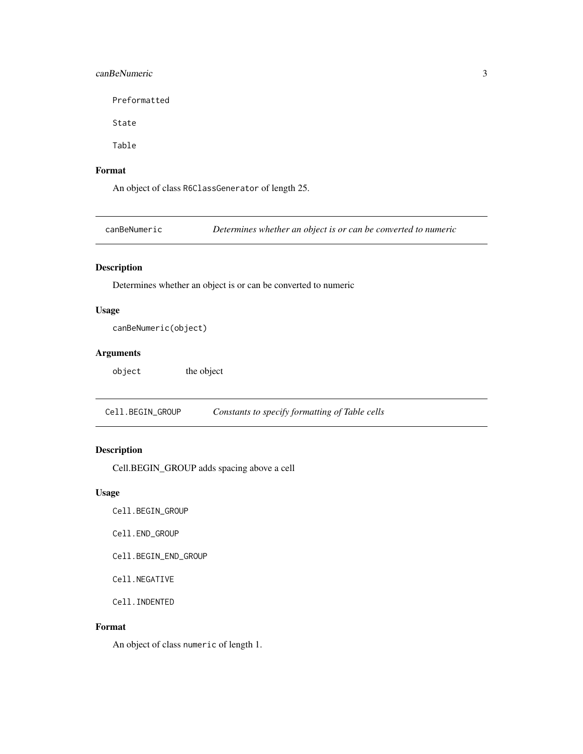#### <span id="page-2-0"></span>canBeNumeric 3

Preformatted

State

Table

## Format

An object of class R6ClassGenerator of length 25.

canBeNumeric *Determines whether an object is or can be converted to numeric*

# Description

Determines whether an object is or can be converted to numeric

#### Usage

```
canBeNumeric(object)
```
#### Arguments

object the object

Cell.BEGIN\_GROUP *Constants to specify formatting of Table cells*

## Description

Cell.BEGIN\_GROUP adds spacing above a cell

#### Usage

Cell.BEGIN\_GROUP

Cell.END\_GROUP

Cell.BEGIN\_END\_GROUP

Cell.NEGATIVE

Cell.INDENTED

#### Format

An object of class numeric of length 1.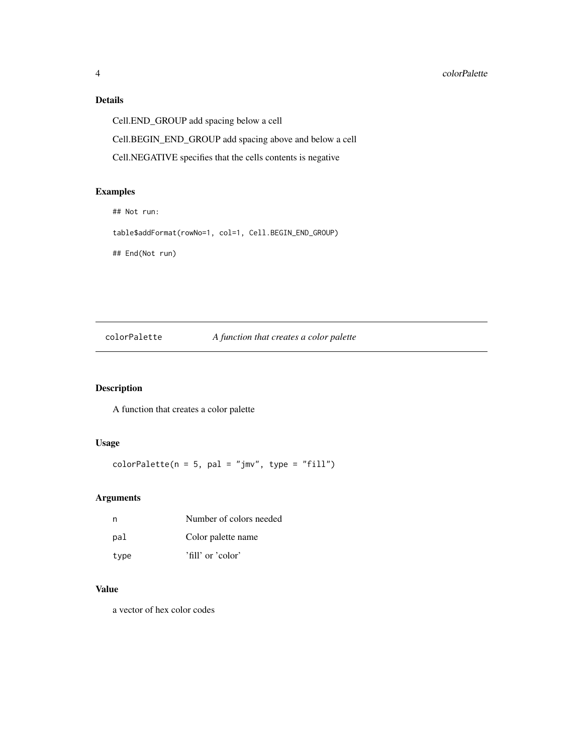# Details

Cell.END\_GROUP add spacing below a cell Cell.BEGIN\_END\_GROUP add spacing above and below a cell Cell.NEGATIVE specifies that the cells contents is negative

#### Examples

```
## Not run:
```

```
table$addFormat(rowNo=1, col=1, Cell.BEGIN_END_GROUP)
```
## End(Not run)

# colorPalette *A function that creates a color palette*

# Description

A function that creates a color palette

#### Usage

 $colorPalette(n = 5, pal = "jmv", type = "fill")$ 

# Arguments

| n    | Number of colors needed |
|------|-------------------------|
| pal  | Color palette name      |
| type | 'fill' or 'color'       |

# Value

a vector of hex color codes

<span id="page-3-0"></span>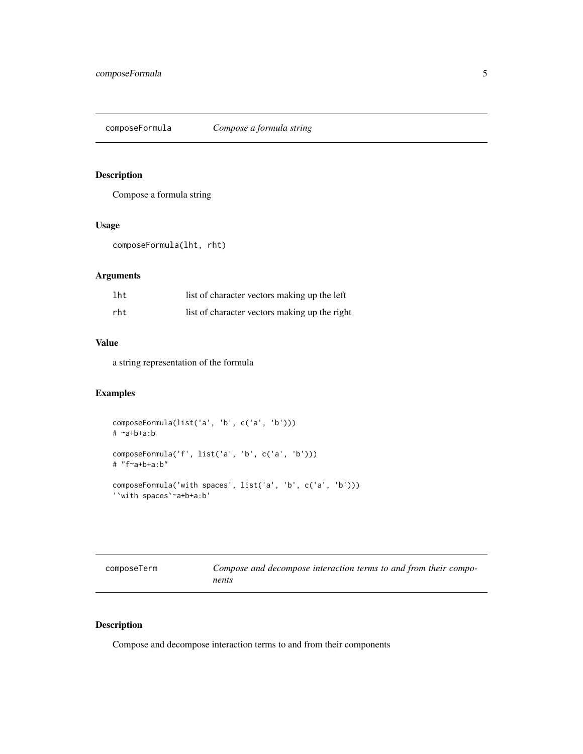<span id="page-4-0"></span>composeFormula *Compose a formula string*

#### Description

Compose a formula string

#### Usage

```
composeFormula(lht, rht)
```
#### Arguments

| lht | list of character vectors making up the left  |
|-----|-----------------------------------------------|
| rht | list of character vectors making up the right |

#### Value

a string representation of the formula

## Examples

```
composeFormula(list('a', 'b', c('a', 'b')))
# ~a+b+a:b
composeFormula('f', list('a', 'b', c('a', 'b')))
# "f~a+b+a:b"
composeFormula('with spaces', list('a', 'b', c('a', 'b')))
'`with spaces`~a+b+a:b'
```

| composeTerm | Compose and decompose interaction terms to and from their compo- |
|-------------|------------------------------------------------------------------|
|             | nents                                                            |

#### Description

Compose and decompose interaction terms to and from their components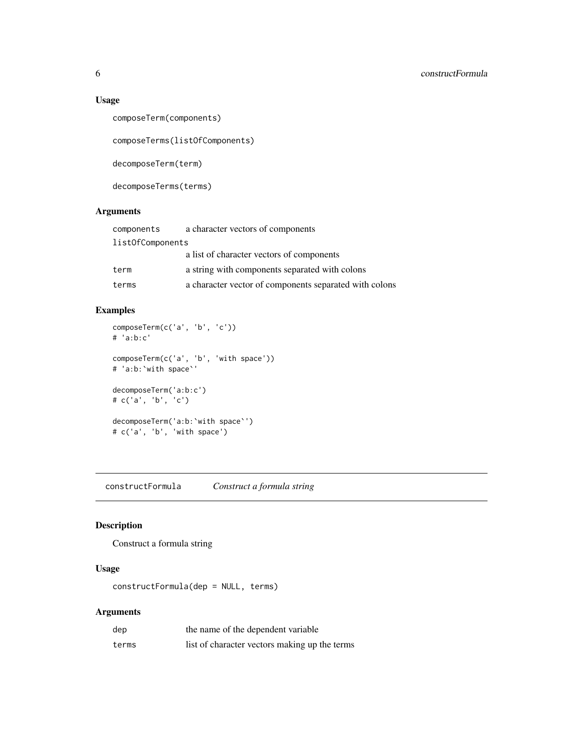#### Usage

```
composeTerm(components)
```
composeTerms(listOfComponents)

decomposeTerm(term)

decomposeTerms(terms)

#### Arguments

| components       | a character vectors of components                      |
|------------------|--------------------------------------------------------|
| list0fComponents |                                                        |
|                  | a list of character vectors of components              |
| term             | a string with components separated with colons         |
| terms            | a character vector of components separated with colons |

# Examples

```
composeTerm(c('a', 'b', 'c'))
# 'a:b:c'
composeTerm(c('a', 'b', 'with space'))
# 'a:b:`with space`'
decomposeTerm('a:b:c')
# c('a', 'b', 'c')
decomposeTerm('a:b:`with space`')
# c('a', 'b', 'with space')
```
constructFormula *Construct a formula string*

#### Description

Construct a formula string

# Usage

constructFormula(dep = NULL, terms)

#### Arguments

| dep   | the name of the dependent variable            |
|-------|-----------------------------------------------|
| terms | list of character vectors making up the terms |

<span id="page-5-0"></span>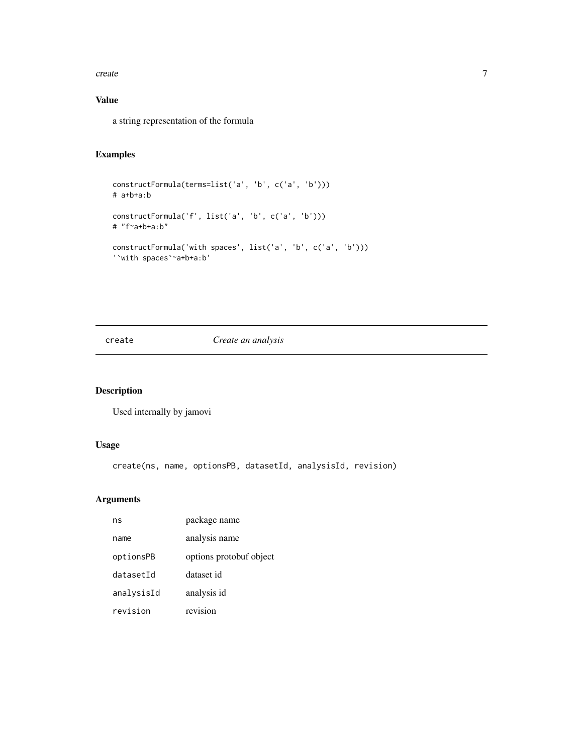#### <span id="page-6-0"></span>create 7

# Value

a string representation of the formula

## Examples

```
constructFormula(terms=list('a', 'b', c('a', 'b')))
# a+b+a:b
constructFormula('f', list('a', 'b', c('a', 'b')))
# "f~a+b+a:b"
constructFormula('with spaces', list('a', 'b', c('a', 'b')))
'`with spaces`~a+b+a:b'
```
#### create *Create an analysis*

## Description

Used internally by jamovi

#### Usage

create(ns, name, optionsPB, datasetId, analysisId, revision)

#### Arguments

| ns         | package name            |
|------------|-------------------------|
| name       | analysis name           |
| optionsPB  | options protobuf object |
| datasetId  | dataset id              |
| analysisId | analysis id             |
| revision   | revision                |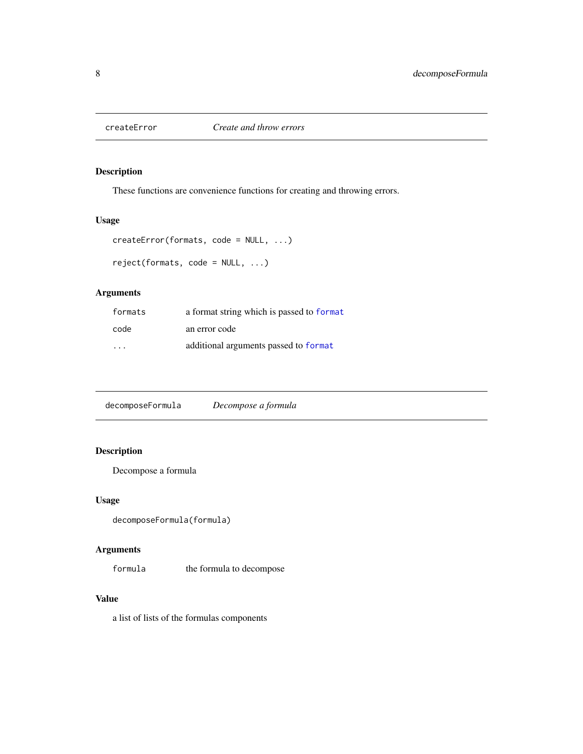<span id="page-7-0"></span>

These functions are convenience functions for creating and throwing errors.

#### Usage

```
createError(formats, code = NULL, ...)
```

```
reject(formats, code = NULL, ...)
```
#### Arguments

| formats                 | a format string which is passed to format |
|-------------------------|-------------------------------------------|
| code                    | an error code                             |
| $\cdot$ $\cdot$ $\cdot$ | additional arguments passed to format     |

decomposeFormula *Decompose a formula*

# Description

Decompose a formula

#### Usage

```
decomposeFormula(formula)
```
# Arguments

formula the formula to decompose

#### Value

a list of lists of the formulas components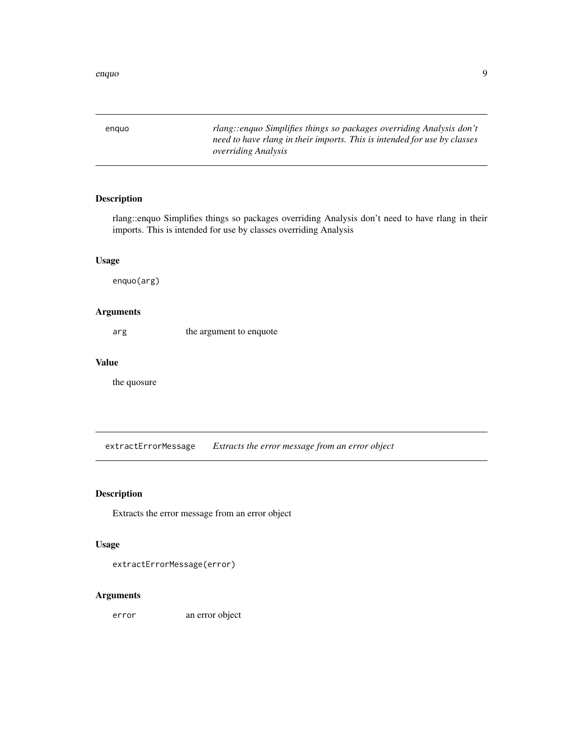<span id="page-8-0"></span>enquo *rlang::enquo Simplifies things so packages overriding Analysis don't need to have rlang in their imports. This is intended for use by classes overriding Analysis*

#### Description

rlang::enquo Simplifies things so packages overriding Analysis don't need to have rlang in their imports. This is intended for use by classes overriding Analysis

#### Usage

enquo(arg)

#### Arguments

arg the argument to enquote

#### Value

the quosure

extractErrorMessage *Extracts the error message from an error object*

#### Description

Extracts the error message from an error object

#### Usage

extractErrorMessage(error)

#### Arguments

error an error object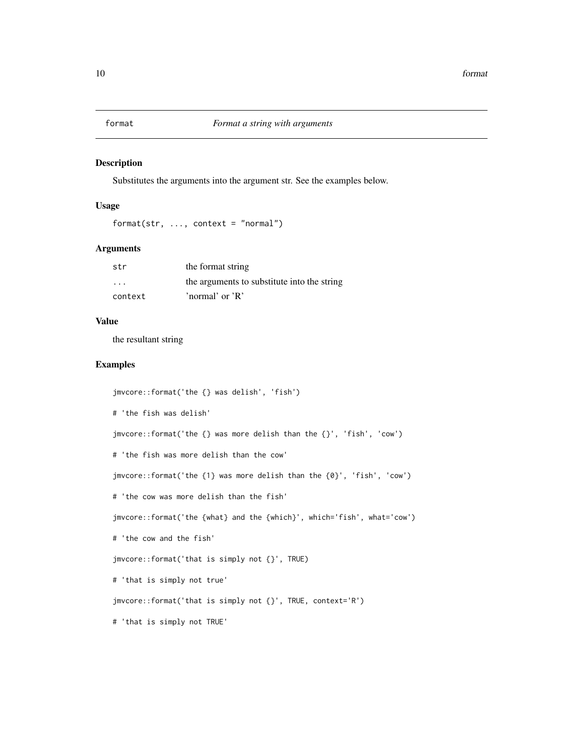<span id="page-9-1"></span><span id="page-9-0"></span>

Substitutes the arguments into the argument str. See the examples below.

#### Usage

```
format(str, ..., context = "normal")
```
#### Arguments

| str     | the format string                           |
|---------|---------------------------------------------|
| $\cdot$ | the arguments to substitute into the string |
| context | 'normal' or $\overline{R}$ '                |

#### Value

the resultant string

#### Examples

```
jmvcore::format('the {} was delish', 'fish')
# 'the fish was delish'
jmvcore::format('the {} was more delish than the {}', 'fish', 'cow')
# 'the fish was more delish than the cow'
jmvcore::format('the {1} was more delish than the {0}', 'fish', 'cow')
# 'the cow was more delish than the fish'
jmvcore::format('the {what} and the {which}', which='fish', what='cow')
# 'the cow and the fish'
jmvcore::format('that is simply not {}', TRUE)
# 'that is simply not true'
jmvcore::format('that is simply not {}', TRUE, context='R')
# 'that is simply not TRUE'
```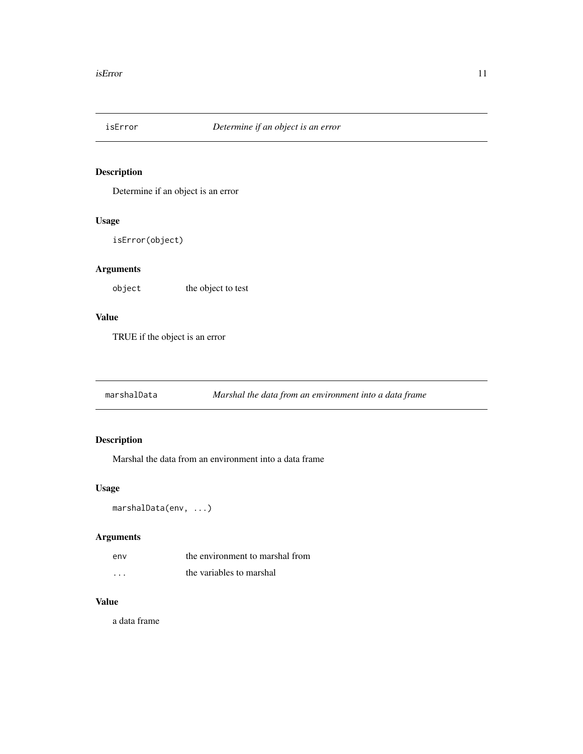<span id="page-10-0"></span>

Determine if an object is an error

## Usage

isError(object)

#### Arguments

object the object to test

#### Value

TRUE if the object is an error

marshalData *Marshal the data from an environment into a data frame*

# Description

Marshal the data from an environment into a data frame

#### Usage

```
marshalData(env, ...)
```
#### Arguments

| env | the environment to marshal from |
|-----|---------------------------------|
| .   | the variables to marshal        |

#### Value

a data frame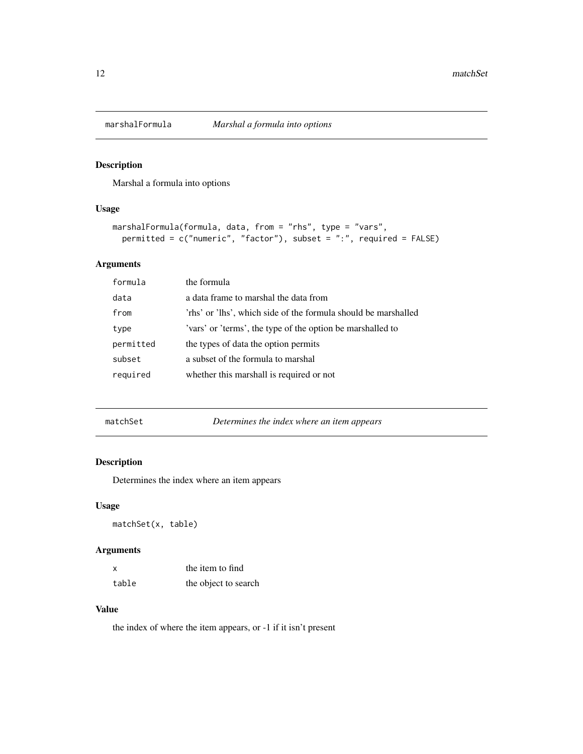<span id="page-11-0"></span>

Marshal a formula into options

#### Usage

```
marshalFormula(formula, data, from = "rhs", type = "vars",
 permitted = c("numeric", "factor"), subset = ":", required = FALSE)
```
#### Arguments

| formula   | the formula                                                    |
|-----------|----------------------------------------------------------------|
| data      | a data frame to marshal the data from                          |
| from      | 'rhs' or 'lhs', which side of the formula should be marshalled |
| type      | 'vars' or 'terms', the type of the option be marshalled to     |
| permitted | the types of data the option permits                           |
| subset    | a subset of the formula to marshal                             |
| required  | whether this marshall is required or not                       |
|           |                                                                |

matchSet *Determines the index where an item appears*

#### Description

Determines the index where an item appears

#### Usage

matchSet(x, table)

#### Arguments

| X     | the item to find     |
|-------|----------------------|
| table | the object to search |

#### Value

the index of where the item appears, or -1 if it isn't present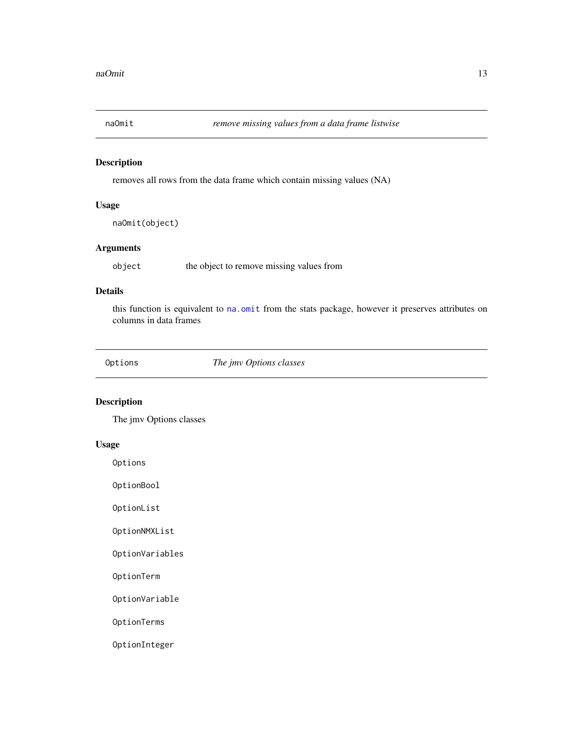<span id="page-12-0"></span>

removes all rows from the data frame which contain missing values (NA)

#### Usage

naOmit(object)

#### Arguments

object the object to remove missing values from

# Details

this function is equivalent to [na.omit](#page-0-0) from the stats package, however it preserves attributes on columns in data frames

Options *The jmv Options classes*

#### Description

The jmv Options classes

#### Usage

Options

OptionBool

OptionList

OptionNMXList

OptionVariables

OptionTerm

OptionVariable

OptionTerms

OptionInteger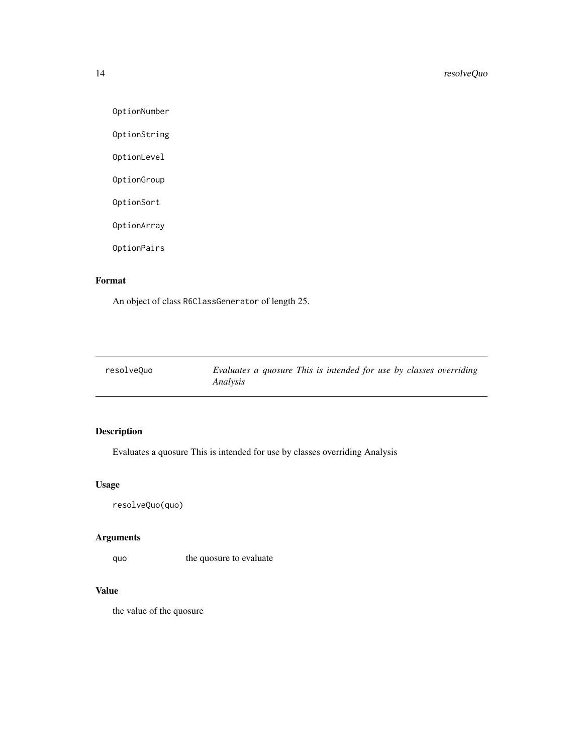OptionNumber

OptionString

OptionLevel

OptionGroup

OptionSort

OptionArray

OptionPairs

# Format

An object of class R6ClassGenerator of length 25.

| resolveQuo | Evaluates a quosure This is intended for use by classes overriding |
|------------|--------------------------------------------------------------------|
|            | Analysis                                                           |

# Description

Evaluates a quosure This is intended for use by classes overriding Analysis

#### Usage

resolveQuo(quo)

#### Arguments

quo the quosure to evaluate

#### Value

the value of the quosure

<span id="page-13-0"></span>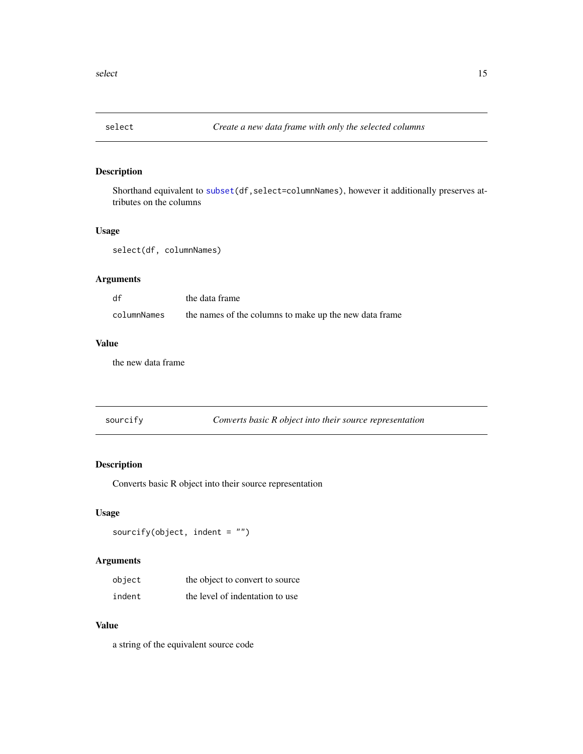<span id="page-14-0"></span>

Shorthand equivalent to [subset\(](#page-0-0)df,select=columnNames), however it additionally preserves attributes on the columns

#### Usage

select(df, columnNames)

#### Arguments

| df          | the data frame                                         |
|-------------|--------------------------------------------------------|
| columnNames | the names of the columns to make up the new data frame |

#### Value

the new data frame

| sourcify |  | Converts basic R object into their source representation |
|----------|--|----------------------------------------------------------|
|          |  |                                                          |

#### Description

Converts basic R object into their source representation

#### Usage

sourcify(object, indent =  $"$ )

# Arguments

| object | the object to convert to source |
|--------|---------------------------------|
| indent | the level of indentation to use |

## Value

a string of the equivalent source code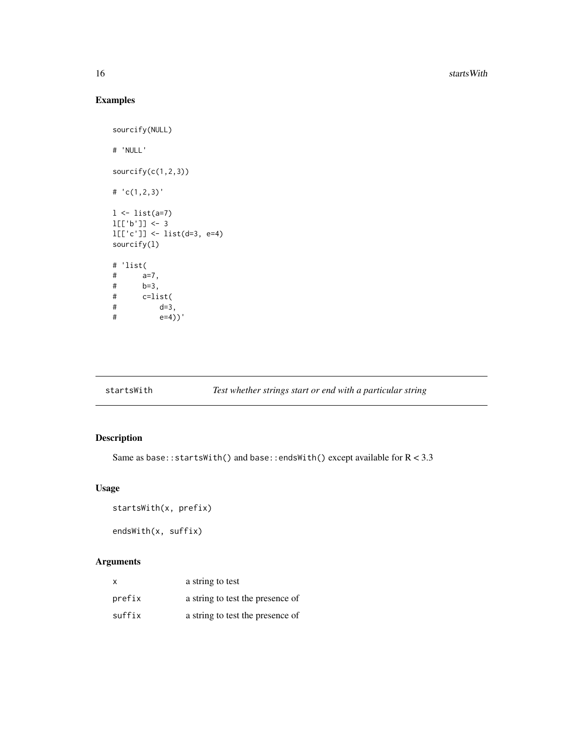# Examples

```
sourcify(NULL)
# 'NULL'
sourcify(c(1,2,3))
# 'c(1,2,3)'
1 \leftarrow list(a=7)l[[b']] < -3l[['c']] <- list(d=3, e=4)
sourcify(l)
# 'list(
# a=7,
# b=3,
# c=list(
# d=3,
# e=4))'
```
# startsWith *Test whether strings start or end with a particular string*

#### Description

Same as base::startsWith() and base::endsWith() except available for  $R < 3.3$ 

#### Usage

```
startsWith(x, prefix)
```
endsWith(x, suffix)

#### Arguments

| x      | a string to test                 |
|--------|----------------------------------|
| prefix | a string to test the presence of |
| suffix | a string to test the presence of |

<span id="page-15-0"></span>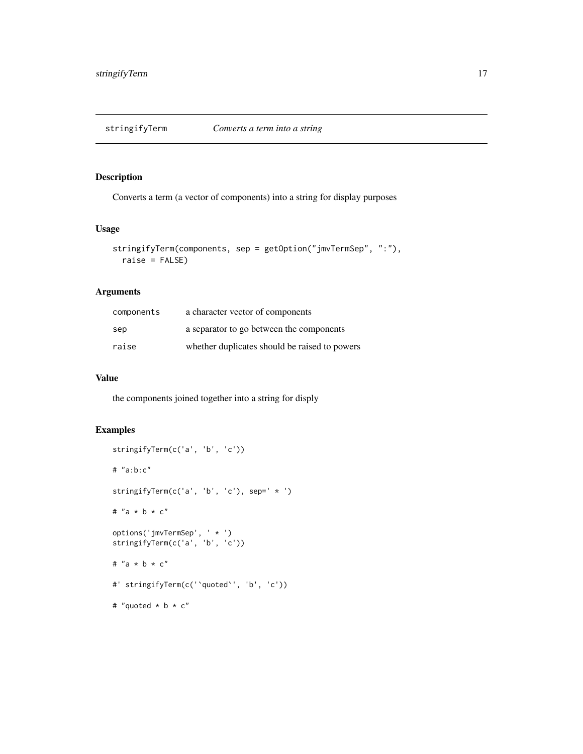<span id="page-16-0"></span>stringifyTerm *Converts a term into a string*

# Description

Converts a term (a vector of components) into a string for display purposes

#### Usage

```
stringifyTerm(components, sep = getOption("jmvTermSep", ":"),
  raise = FALSE)
```
#### Arguments

| components | a character vector of components              |
|------------|-----------------------------------------------|
| sep        | a separator to go between the components      |
| raise      | whether duplicates should be raised to powers |

#### Value

the components joined together into a string for disply

# Examples

```
stringifyTerm(c('a', 'b', 'c'))
# "a:b:c"
stringifyTerm(c('a', 'b', 'c'), sep=' * ')
# "a * b * c"
options('jmvTermSep', ' * ')
stringifyTerm(c('a', 'b', 'c'))
# "a * b * c"
#' stringifyTerm(c('`quoted`', 'b', 'c'))
# "quoted * b * c"
```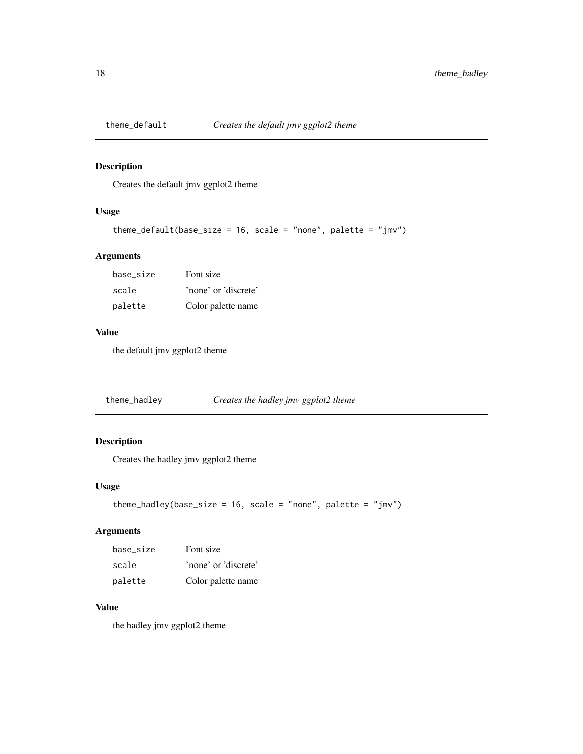<span id="page-17-0"></span>

Creates the default jmv ggplot2 theme

#### Usage

```
theme_default(base_size = 16, scale = "none", palette = "jmv")
```
#### Arguments

| base size | Font size            |
|-----------|----------------------|
| scale     | 'none' or 'discrete' |
| palette   | Color palette name   |

#### Value

the default jmv ggplot2 theme

theme\_hadley *Creates the hadley jmv ggplot2 theme*

#### Description

Creates the hadley jmv ggplot2 theme

#### Usage

```
theme_hadley(base_size = 16, scale = "none", palette = "jmv")
```
## Arguments

| base size | Font size            |
|-----------|----------------------|
| scale     | 'none' or 'discrete' |
| palette   | Color palette name   |

# Value

the hadley jmv ggplot2 theme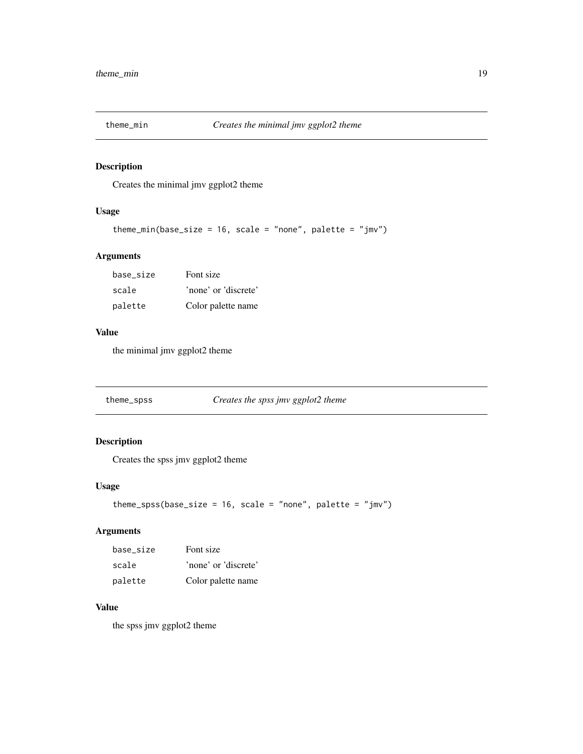<span id="page-18-0"></span>

Creates the minimal jmv ggplot2 theme

#### Usage

```
theme_min(base_size = 16, scale = "none", palette = "jmv")
```
#### Arguments

| base size | Font size            |
|-----------|----------------------|
| scale     | 'none' or 'discrete' |
| palette   | Color palette name   |

#### Value

the minimal jmv ggplot2 theme

theme\_spss *Creates the spss jmv ggplot2 theme*

#### Description

Creates the spss jmv ggplot2 theme

#### Usage

```
theme_spss(base_size = 16, scale = "none", palette = "jmv")
```
#### Arguments

| base size | Font size            |
|-----------|----------------------|
| scale     | 'none' or 'discrete' |
| palette   | Color palette name   |

# Value

the spss jmv ggplot2 theme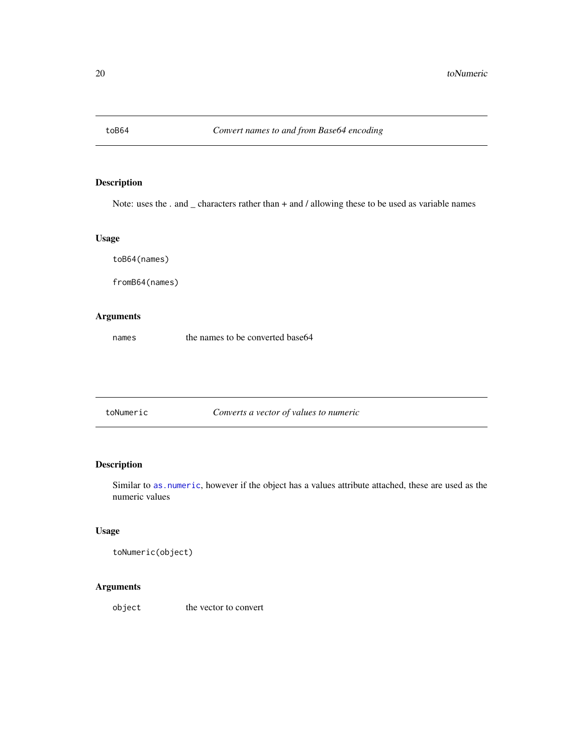<span id="page-19-0"></span>

Note: uses the . and \_ characters rather than + and / allowing these to be used as variable names

#### Usage

toB64(names)

fromB64(names)

#### Arguments

names the names to be converted base64

toNumeric *Converts a vector of values to numeric*

#### Description

Similar to [as.numeric](#page-0-0), however if the object has a values attribute attached, these are used as the numeric values

#### Usage

```
toNumeric(object)
```
# Arguments

object the vector to convert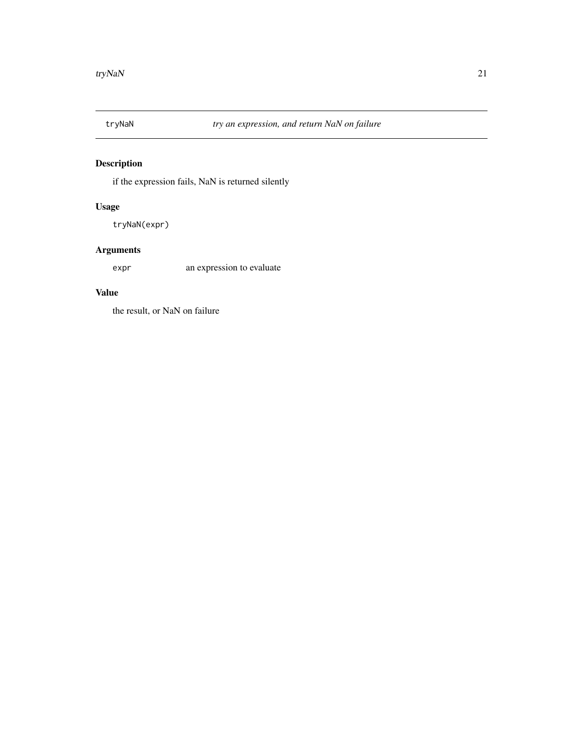<span id="page-20-0"></span>

if the expression fails, NaN is returned silently

#### Usage

tryNaN(expr)

# Arguments

expr an expression to evaluate

#### Value

the result, or NaN on failure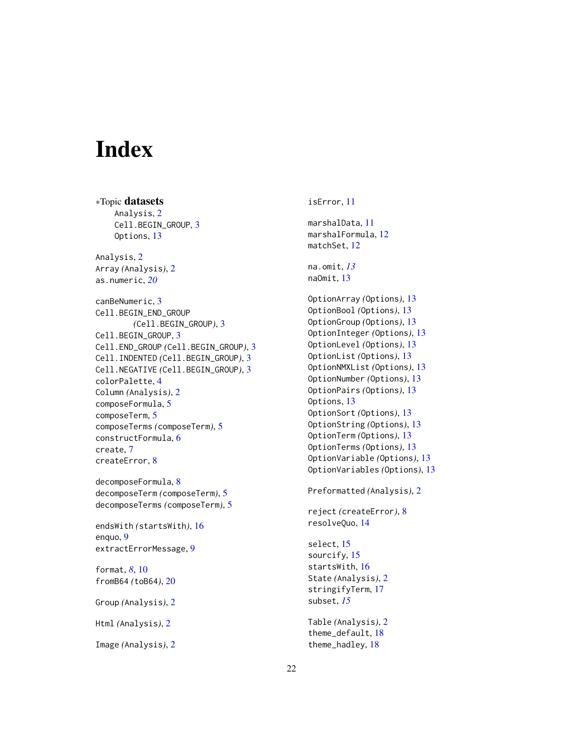# <span id="page-21-0"></span>**Index**

∗Topic datasets Analysis, [2](#page-1-0) Cell.BEGIN\_GROUP, [3](#page-2-0) Options, [13](#page-12-0) Analysis, [2](#page-1-0) Array *(*Analysis*)*, [2](#page-1-0) as.numeric, *[20](#page-19-0)* canBeNumeric, [3](#page-2-0) Cell.BEGIN\_END\_GROUP *(*Cell.BEGIN\_GROUP*)*, [3](#page-2-0) Cell.BEGIN\_GROUP, [3](#page-2-0) Cell.END\_GROUP *(*Cell.BEGIN\_GROUP*)*, [3](#page-2-0) Cell.INDENTED *(*Cell.BEGIN\_GROUP*)*, [3](#page-2-0) Cell.NEGATIVE *(*Cell.BEGIN\_GROUP*)*, [3](#page-2-0) colorPalette, [4](#page-3-0) Column *(*Analysis*)*, [2](#page-1-0) composeFormula, [5](#page-4-0) composeTerm, [5](#page-4-0) composeTerms *(*composeTerm*)*, [5](#page-4-0) constructFormula, [6](#page-5-0) create, [7](#page-6-0) createError, [8](#page-7-0)

decomposeFormula, [8](#page-7-0) decomposeTerm *(*composeTerm*)*, [5](#page-4-0) decomposeTerms *(*composeTerm*)*, [5](#page-4-0)

endsWith *(*startsWith*)*, [16](#page-15-0) enquo, [9](#page-8-0) extractErrorMessage, [9](#page-8-0)

format, *[8](#page-7-0)*, [10](#page-9-0) fromB64 *(*toB64*)*, [20](#page-19-0)

Group *(*Analysis*)*, [2](#page-1-0)

Html *(*Analysis*)*, [2](#page-1-0)

Image *(*Analysis*)*, [2](#page-1-0)

isError, [11](#page-10-0) marshalData, [11](#page-10-0) marshalFormula, [12](#page-11-0) matchSet, [12](#page-11-0) na.omit, *[13](#page-12-0)* naOmit, [13](#page-12-0) OptionArray *(*Options*)*, [13](#page-12-0) OptionBool *(*Options*)*, [13](#page-12-0) OptionGroup *(*Options*)*, [13](#page-12-0) OptionInteger *(*Options*)*, [13](#page-12-0) OptionLevel *(*Options*)*, [13](#page-12-0) OptionList *(*Options*)*, [13](#page-12-0) OptionNMXList *(*Options*)*, [13](#page-12-0) OptionNumber *(*Options*)*, [13](#page-12-0) OptionPairs *(*Options*)*, [13](#page-12-0) Options, [13](#page-12-0) OptionSort *(*Options*)*, [13](#page-12-0) OptionString *(*Options*)*, [13](#page-12-0) OptionTerm *(*Options*)*, [13](#page-12-0) OptionTerms *(*Options*)*, [13](#page-12-0) OptionVariable *(*Options*)*, [13](#page-12-0) OptionVariables *(*Options*)*, [13](#page-12-0) Preformatted *(*Analysis*)*, [2](#page-1-0)

reject *(*createError*)*, [8](#page-7-0) resolveQuo, [14](#page-13-0)

select, [15](#page-14-0) sourcify, [15](#page-14-0) startsWith, [16](#page-15-0) State *(*Analysis*)*, [2](#page-1-0) stringifyTerm, [17](#page-16-0) subset, *[15](#page-14-0)*

Table *(*Analysis*)*, [2](#page-1-0) theme\_default, [18](#page-17-0) theme\_hadley, [18](#page-17-0)